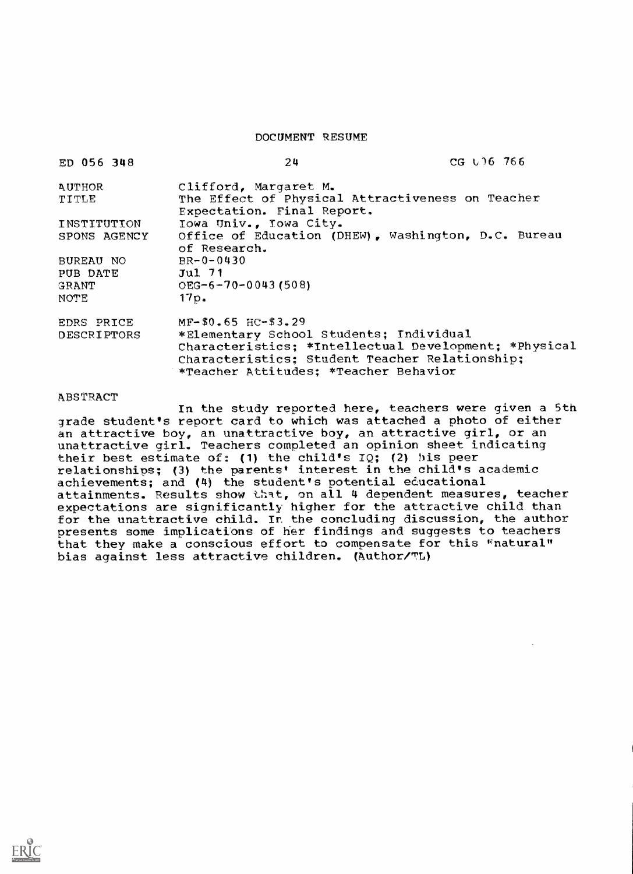DOCUMENT RESUME

| ED 056 348    | 24                                                                                                                                                                                          | CG U 16 766 |
|---------------|---------------------------------------------------------------------------------------------------------------------------------------------------------------------------------------------|-------------|
| <b>AUTHOR</b> | Clifford, Margaret M.                                                                                                                                                                       |             |
| TITLE         | The Effect of Physical Attractiveness on Teacher<br>Expectation. Final Report.                                                                                                              |             |
| INSTITUTION   | Iowa Univ., Iowa City.                                                                                                                                                                      |             |
| SPONS AGENCY  | Office of Education (DHEW), Washington, D.C. Bureau<br>of Research.                                                                                                                         |             |
| BUREAU NO     | $BR - 0 - 0430$                                                                                                                                                                             |             |
| PUB DATE      | $Jul$ 71                                                                                                                                                                                    |             |
| GRANT         | $OEG-6-70-0043(508)$                                                                                                                                                                        |             |
| NOTE          | 17p.                                                                                                                                                                                        |             |
| EDRS PRICE    | $MF-$0.65$ HC-\$3.29                                                                                                                                                                        |             |
| DESCRIPTORS   | *Elementary School Students; Individual<br>Characteristics; *Intellectual Development; *Physical<br>Characteristics: Student Teacher Relationship;<br>*Teacher Attitudes; *Teacher Behavior |             |

## **ABSTRACT**

In the study reported here, teachers were given a 5th grade student's report card to which was attached a photo of either an attractive boy, an unattractive boy, an attractive girl, or an unattractive girl. Teachers completed an opinion sheet indicating their best estimate of: (1) the child's IQ; (2) his peer relationships; (3) the parents' interest in the child's academic achievements; and (4) the student's potential educational attainments. Results show that, on all 4 dependent measures, teacher expectations are significantly higher for the attractive child than for the unattractive child. In the concluding discussion, the author presents some implicatibns of her findings and suggests to teachers that they make a conscious effort to compensate for this "natural" bias against less attractive children. (Author/Tt)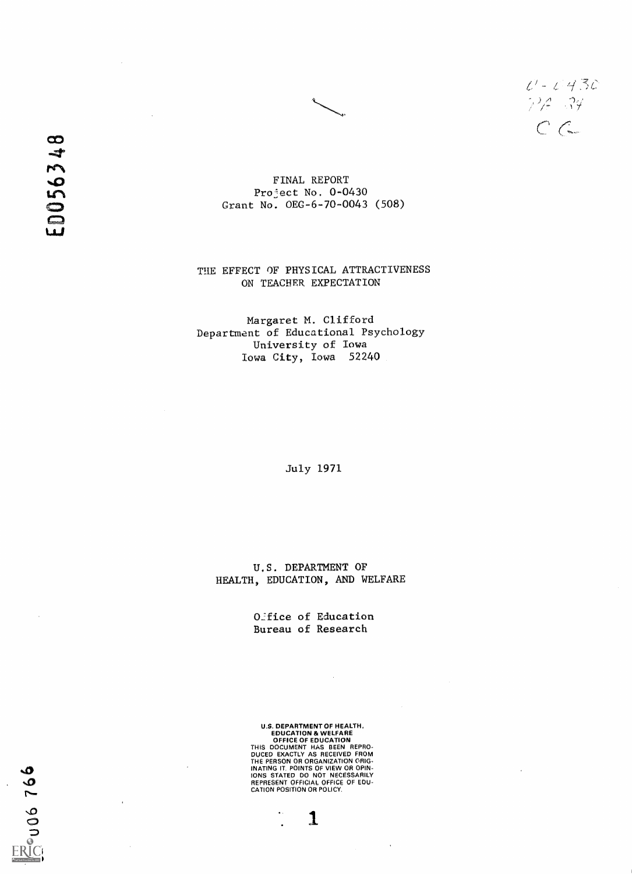$U - C$ 430<br>74.34  $C$ 

ED056348

FINAL REPORT Project No. 0-0430 Grant No. OEG-6-70-0043 (508)

THE EFFECT OF PHYSICAL ATTRACTIVENESS ON TEACHER EXPECTATION

Margaret M. Clifford Department of Educational Psychology University of Iowa Iowa City, Iowa 52240

July 1971

U.S. DEPARTMENT OF HEALTH, EDUCATION, AND WELFARE

> Office of Education Bureau of Research

U.S. DEPARTMENT OF HEALTH EDUCATION & WELFARE OFFICE OF EDUCATION

THIS DOCUMENT HAS BEEN REPRO-DUCED EXACTLY AS RECEIVED FROM THE PERSON OR ORGANIZATION ORIG-INATING IT POINTS OF VIEW OR OPIN-IONS STATED DO NOT NECESSARILY REPRESENT OFFICIAL OFFICE OF EDU-CATION POSITION OR POLICY.

 $\mathbf{1}$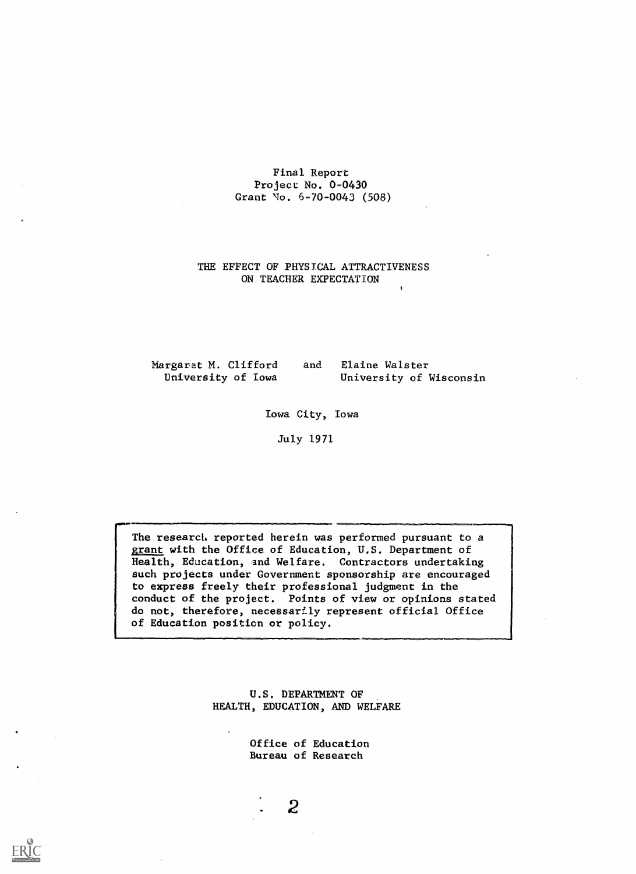## Final Report Project No. 0-0430 Grant No. 6-70-0043 (508)

# THE EFFECT OF PHYSICAL ATTRACTIVENESS ON TEACHER EXPECTATION

Margaret M. Clifford and Elaine Walster<br>University of Iowa University of I

University of Wisconsin

Iowa City, Iowa

July 1971

The research reported herein was performed pursuant to a grant with the Office of Education, U.S. Department of Health, Education, and Welfare. Contractors undertaking such projects under Government sponsorship are encouraged to express freely their professional judgment in the conduct of the project. Points of view or opinions stated do not, therefore, necessarily represent official Office of Education position or policy.

> U.S. DEPARTMENT OF HEALTH, EDUCATION, AND WELFARE

> > Office of Education Bureau of Research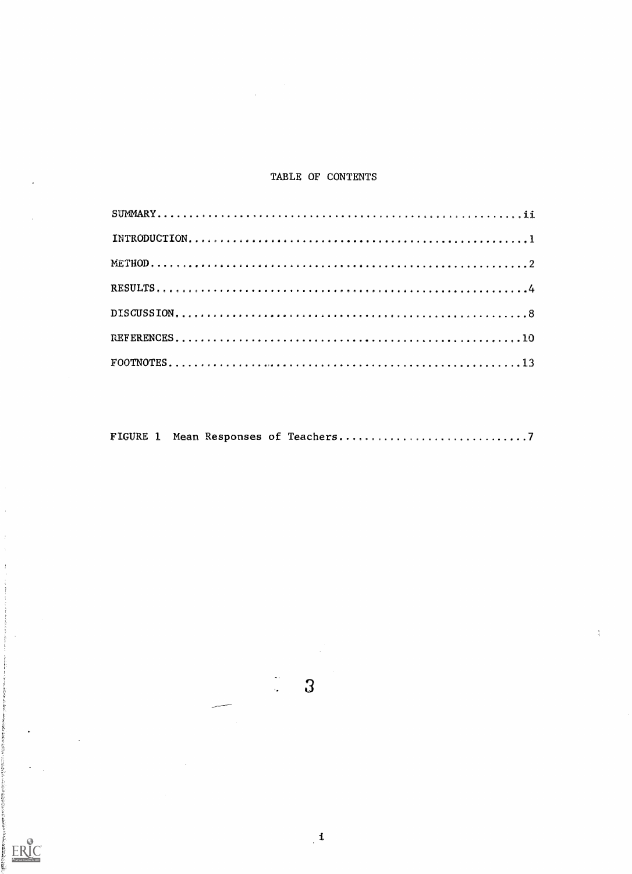## TABLE OF CONTENTS

 $\sim$ 

|--|--|--|--|--|--|--|

 $\mathbf{3}$ 

 $\mathbf{1}$ 

 $\frac{1}{2}$ 

 $\frac{\pi}{2}$ 

 $\frac{1}{2}$ 

ERIC<br>Afull Tax Provided by ERIC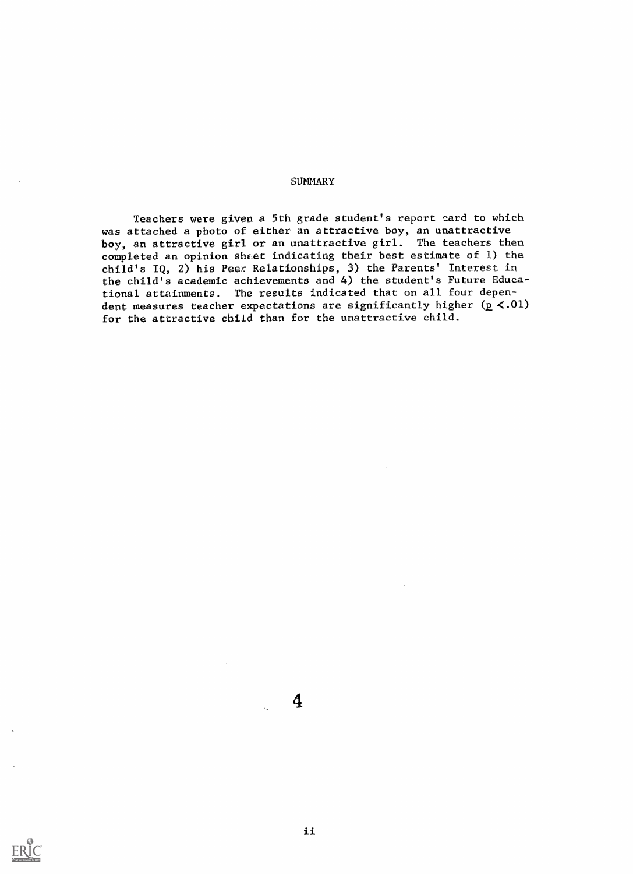### **SUMMARY**

Teachers were given a 5th grade student's report card to which was attached a photo of either an attractive boy, an unattractive boy, an attractive girl or an unattractive girl. The teachers then completed an opinion sheet indicating their best estimate of 1) the child's IQ, 2) his Peer Relationships, 3) the Parents' Interest in the child's academic achievements and 4) the student's Future Educational attainments. The results indicated that on all four dependent measures teacher expectations are significantly higher  $(p < .01)$ for the attractive child than for the unattractive child.

ii

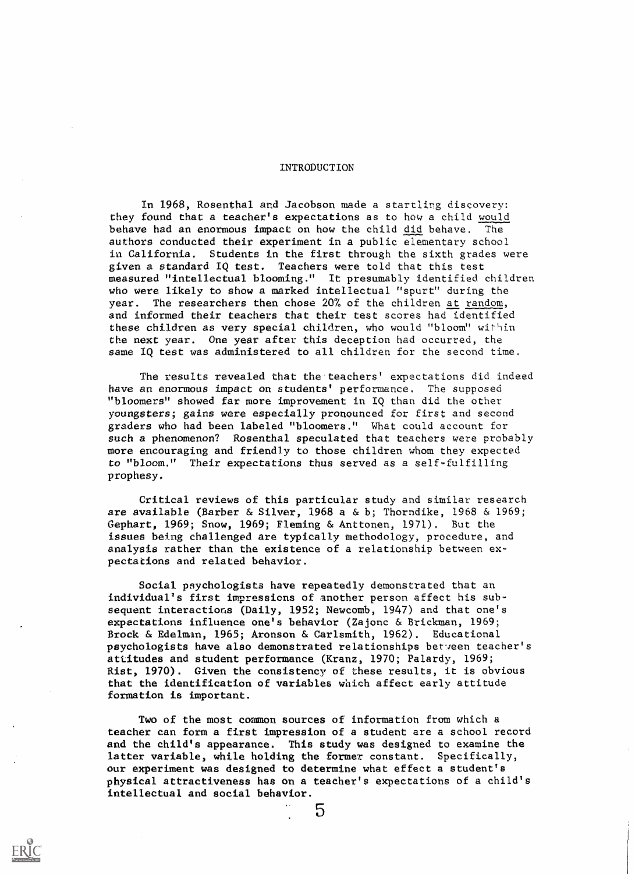#### INTRODUCTION

In 1968, Rosenthal and Jacobson made a startling discovery: they found that a teacher's expectations as to how a child would behave had an enormous impact on how the child did behave. The authors conducted their experiment in a public elementary school ia California. Students in the first through the sixth grades were given a standard IQ test. Teachers were told that this test measured "intellectual blooming." It presumably identified children who were likely to show a marked intellectual "spurt" during the year. The researchers then chose 20% of the children at random, and informed their teachers that their test scores had identified these children as very special children, who would "bloom" within the next year. One year after this deception had occurred, the same IQ test was administered to all children for the second time.

The results revealed that the'teachers' expectations did indeed have an enormous impact on students' performance. The supposed "bloomers" showed far more improvement in IQ than did the other youngsters; gains were especially pronounced for first and second graders who had been labeled "bloomers." What could account for such a phenomenon? Rosenthal speculated that teachers were probably more encouraging and friendly to those children whom they expected to "bloom." Their expectations thus served as a self-fulfilling prophesy.

Critical reviews of this particular study and similar research are available (Barber & Silver, 1968 a & b; Thorndike, 1968 & 1969; Gephart, 1969; Snow, 1969; Fleming & Anttonen, 1971). But the issues being challenged are typically methodology, procedure, and analysis rather than the existence of a relationship between expectations and related behavior.

Social psychologists have repeatedly demonstrated that an individual's first impressions of another person affect his subsequent interactions (Daily, 1952; Newcomb, 1947) and that one's expectations influence one's behavior (Zajonc & Brickman, 1969; Brock & Edelman, 1965; Aronson & Carlsmith, 1962). Educational psychologists have also demonstrated relationships between teacher's attitudes and student performance (Kranz, 1970; Palardy, 1969; Rist, 1970). Given the consistency of these results, it is obvious that the identification of variables which affect early attitude formation is important.

Two of the most common sources of information from which a teacher can form a first impression of a student are a school recora and the child's appearance. This study was designed to examine the latter variable, while holding the former constant. Specifically, our experiment was designed to determine what effect a student's physical attractiveness has on a teacher's expectations of a child's intellectual and social behavior.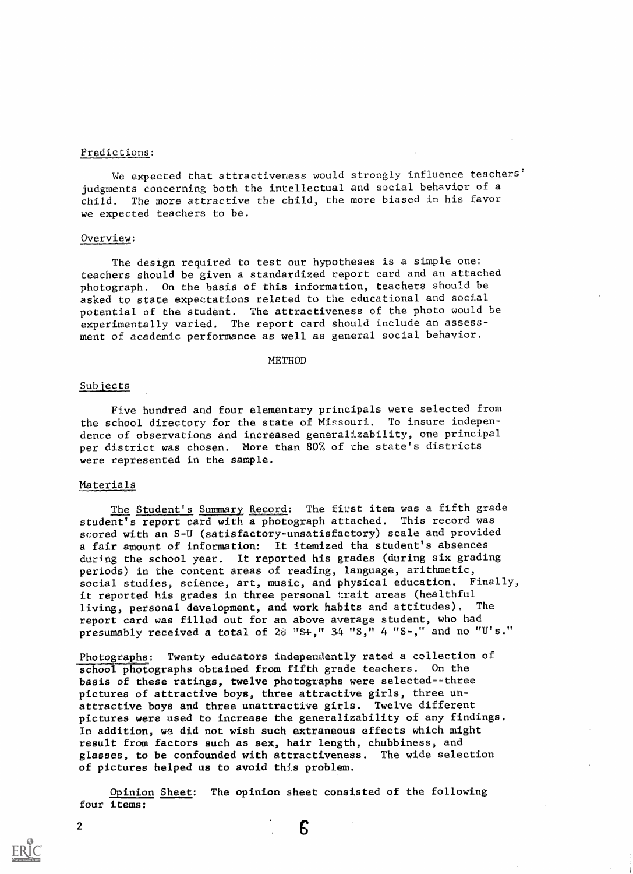## Predictions:

We expected that attractiveness would strongly influence teachers' judgments concerning both the intellectual and social behavior of a child. The more attractive the child, the more biased in his favor we expected teachers to be.

### Overview:

The design required to test our hypotheses is a simple one: teachers should be given a standardized report card and an attached photograph. On the basis of this information, teachers should be asked to state expectations related to the educational and social potential of the student. The attractiveness of the photo would be experimentally varied, The report card should include an assessment of academic performance as well as general social behavior.

#### METHOD

#### Subjects

Five hundred and four elementary principals were selected from the school directory for the state of Missouri. To insure indepen dence of observations and increased generalizability, one principal per district was chosen. More than 80% of the state's districts were represented in the sample.

## Materials

The Student's Summary Record: The first item was a fifth grade student's report card with a photograph attached. This record was scored with an S-U (satisfactory-unsatisfactory) scale and provided a fair amount of information: It itemized tha student's absences during the school year. It reported his grades (during six grading periods) in the content areas of reading, language, arithmetic, social studies, science, art, music, and physical education. Finally, it reported his grades in three personal trait areas (healthful living, personal development, and work habits and attitudes). The report card was filled out for an above average student, who had presumably received a total of  $28$  "S+,"  $34$  "S,"  $4$  "S-," and no "U's."

Photographs: Twenty educators independently rated a collection of school photographs obtained from fifth grade teachers. On the basis of these ratings, twelve photographs were selected--three pictures of attractive boys, three attractive girls, three unattractive boys and three unattractive girls. Twelve different pictures were used to increase the generalizability of any findings. In addition, wa did not wish such extraneous effects which might result from factors such as sex, hair length, chubbiness, and glasses, to be confounded with attractiveness. The wide selection of pictures helped us to avoid this problem.

Opinion Sheet: The opinion sheet consisted of the following four items:

Б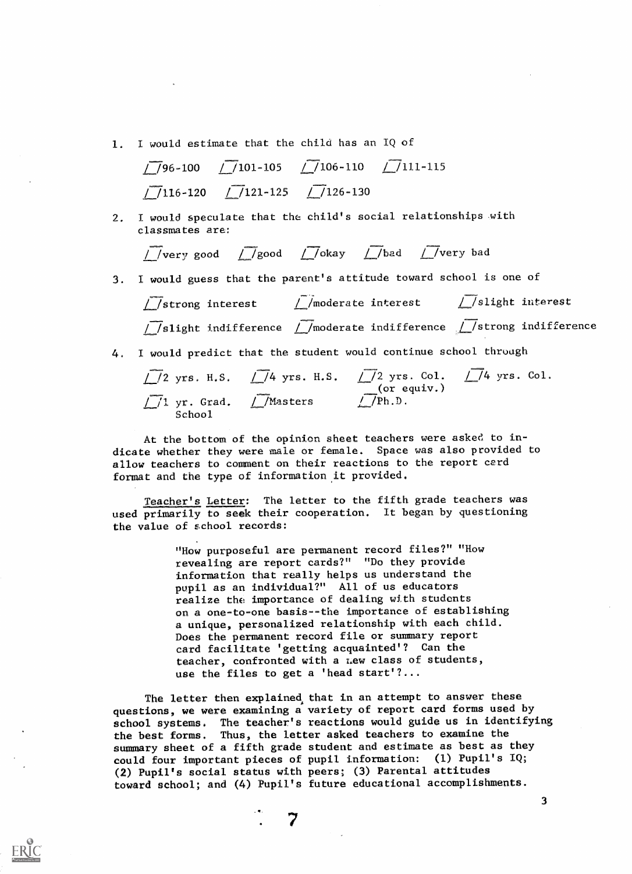1. I would estimate that the child has an IQ of

$$
\begin{array}{cccc}\n\sqrt{96-100} & \sqrt{101-105} & \sqrt{106-110} & \sqrt{111-115} \\
\hline\n\sqrt{116-120} & \sqrt{121-125} & \sqrt{126-130}\n\end{array}
$$

2. I would speculate that the child's social relationships with classmates are:

$$
\sqrt{\phantom{a}}\text{very good } \sqrt{\phantom{a}}\text{good } \sqrt{\phantom{a}}\text{good } \sqrt{\phantom{a}}\text{obay } \sqrt{\phantom{a}}\text{obad } \sqrt{\phantom{a}}\text{very bad }
$$

- 3. I would guess that the parent's attitude toward school is one of
	- strong interest  $\frac{1}{2}$ /moderate interest  $\frac{1}{2}$ /slight interest  $\sqrt{\phantom{a}}$ /slight indifference  $\phantom{a}$ /moderate indifference  $\phantom{a}$ /strong indifference
- 4. I would predict that the student would continue school through
	- $\frac{1}{2}$  yrs. H.S.  $\frac{1}{4}$  yrs. H.S.  $\frac{1}{2}$  yrs. Col.  $\frac{1}{4}$  yrs. Col. (or equiv.) yr. Grad. (*L*/Masters (*L/Ph.D.*) School

At the bottom of the opinion sheet teachers were asked to indicate whether they were male or female. Space was also provided to allow teachers to comment on their reactions to the report card format and the type of information it provided.

Teacher's Letter: The letter to the fifth grade teachers was used primarily to seek their cooperation. It began by questioning the value of school records:

> "How purposeful are permanent record files?" "How revealing are report cards?" "Do they provide information that really helps us understand the pupil as an individual?" All of us educators realize the importance of dealing with students on a one-to-one basis--the importance of establishing a unique, personalized relationship with each child. Does the permanent record file or summary report card facilitate 'getting acquainted'? Can the teacher, confronted with a Lew class of students, use the files to get a 'head start'?...

The letter then explained that in an attempt to answer these questions, we were examining a variety of report card forms used by school systems. The teacher's reactions would guide us in identifying the best forms. Thus, the letter asked teachers to examine the summary sheet of a fifth grade student and estimate as best as they could four important pieces of pupil information: (1) Pupil's IQ; (2) Pupil's social status with peers; (3) Parental attitudes toward school; and (4) Pupil's future educational accomplishments.

 $\overline{\mathbf{3}}$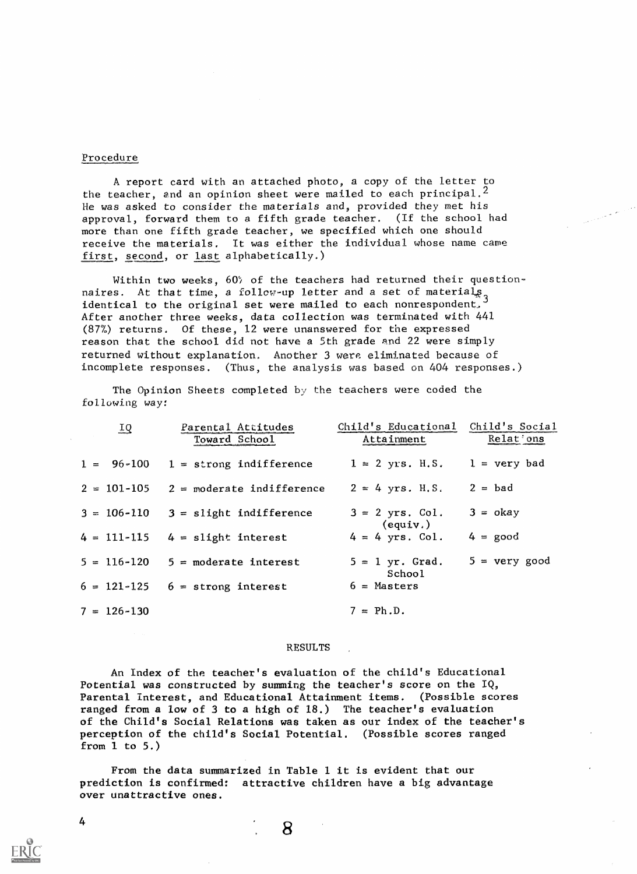#### Procedure

A report card with an attached photo, a copy of the letter to the teacher, and an opinion sheet were mailed to each principal.<sup>2</sup> He was asked to consider the materials and, provided they met his approval, forward them to a fifth grade teacher. (If the school had more than one fifth grade teacher, we specified which one should receive the materials. It was either the individual whose name came first, second, or last alphabetically.)

Within two weeks,  $60\%$  of the teachers had returned their questionnaires. At that time, a follow-up letter and a set of materials, identical to the original set were mailed to each nonrespondent, After another three weeks, data collection was terminated with 441 (877) returns. Of these, 12 were unanswered for the expressed reason that the school did not have a 5th grade and 22 were simply returned without explanation. Another 3 were eliminated because of incomplete responses. (Thus, the analysis was based on 404 responses.)

The Opinion Sheets completed by the teachers were coded the following way:

| $\overline{1Q}$ | Parental Attitudes<br>Toward School         | Child's Educational Child's Social<br>Attainment | Relat'ons              |
|-----------------|---------------------------------------------|--------------------------------------------------|------------------------|
|                 | $1 = 96 - 100$ $1 =$ strong indifference    | $1 = 2$ yrs. H.S. $1 =$ very bad                 |                        |
|                 | $2 = 101 - 105$ $2 = moderate indifference$ | $2 = 4$ yrs. H.S.                                | $2 = bad$              |
|                 | $3 = 106 - 110$ $3 =$ slight indifference   | $3 = 2$ yrs. Col.<br>$($ equiv. $)$              | $3 = okay$             |
|                 | $4 = 111 - 115$ $4 =$ slight interest       | $4 = 4$ yrs. Col.                                | $4 = \text{good}$      |
|                 | $5 = 116 - 120$ $5 = 20$ noderate interest  | $5 = 1$ yr. Grad.<br>School                      | $5 = \text{very good}$ |
|                 | $6 = 121 - 125$ $6 =$ strong interest       | $6 =$ Masters                                    |                        |
| $7 = 126 - 130$ |                                             | $7 = Ph.D.$                                      |                        |

#### RESULTS

An Index of the teacher's evaluation of the child's Educational Potential was constructed by summing the teacher's score on the IQ, Parental interest, and Educational Attainment items. (Possible scores ranged from a low of 3 to a high of 18.) The teacher's evaluation of the Child's Social Relations was taken as our index of the teacher's perception of the child's Social Potential. (Possible scores ranged from 1 to 5.)

From the data summarized in Table 1 it is evident that our prediction is confirmed: attractive children have a big advantage over unattractive ones.

8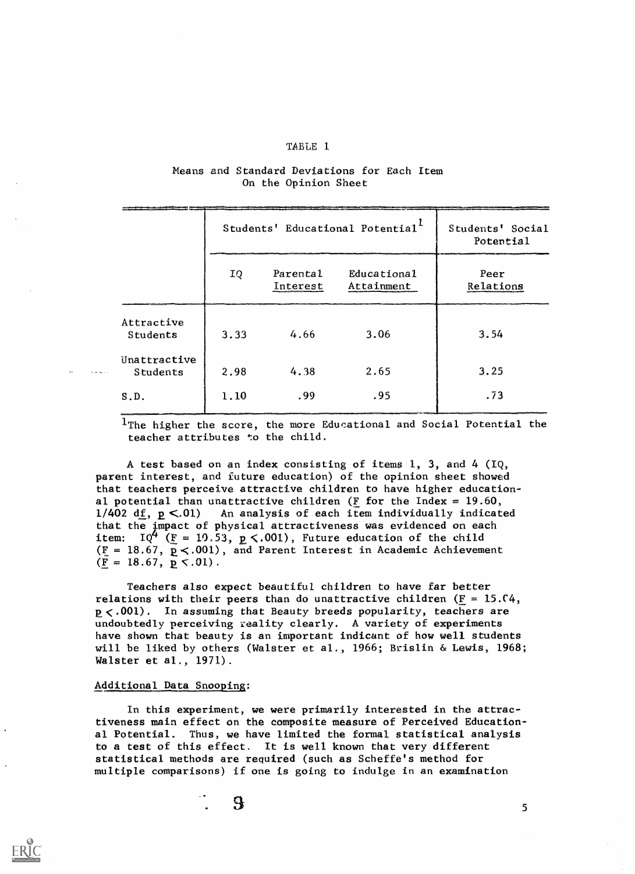## TABLE 1

## Means and Standard Deviations for Each Item On the Opinion Sheet

|                          | Students' Educational Potential <sup>1</sup> |                      |                           | Students' Social<br>Potential |
|--------------------------|----------------------------------------------|----------------------|---------------------------|-------------------------------|
|                          | IQ                                           | Parental<br>Interest | Educational<br>Attainment | Peer<br>Relations             |
| Attractive<br>Students   | 3.33                                         | 4.66                 | 3.06                      | 3.54                          |
| Unattractive<br>Students | 2.98                                         | 4.38                 | 2.65                      | 3.25                          |
| S.D.                     | 1.10                                         | .99                  | .95                       | .73                           |

 $1$ The higher the score, the more Educational and Social Potential the teacher attributes to the child.

A test based on an index consisting of items 1, 3, and 4 (IQ, parent interest, and future education) of the opinion sheet showed that teachers perceive attractive children to have higher educational potential than unattractive children ( $\underline{F}$  for the Index = 19.60, 1/402 df,  $p < .01$ ) An analysis of each item individually indicated that the impact of physical attractiveness was evidenced on each item: IQ<sup>4</sup> ( $\underline{F}$  = 10.53,  $\underline{p}$  <.001), Future education of the child ( $\underline{F}$  = 18.67,  $\underline{p}$ <.001), and Parent Interest in Academic Achievement  $(F = 18.67, p \le .01)$ .

Teachers also expect beautiful children to have far better relations with their peers than do unattractive children  $(F = 15.04,$  $p < .001$ ). In assuming that Beauty breeds popularity, teachers are undoubtedly perceiving reality clearly. A variety of experiments have shown that beauty is an important indicant of how well students will be liked by others (Walster et al., 1966; Brislin & Lewis, 1968; Walster et al., 1971).

## Additional Data Snooping:

 $\tilde{R}$  and  $\tilde{R}$  and  $\tilde{R}$ 

In this experiment, we were primarily interested in the attractiveness main effect on the composite measure of Perceived Educational Potential. Thus, we have limited the formal statistical analysis to a test of this effect. It is well known that very different statistical methods are required (such as Scheffe's.method for multiple comparisons) if one is going to indulge in an examination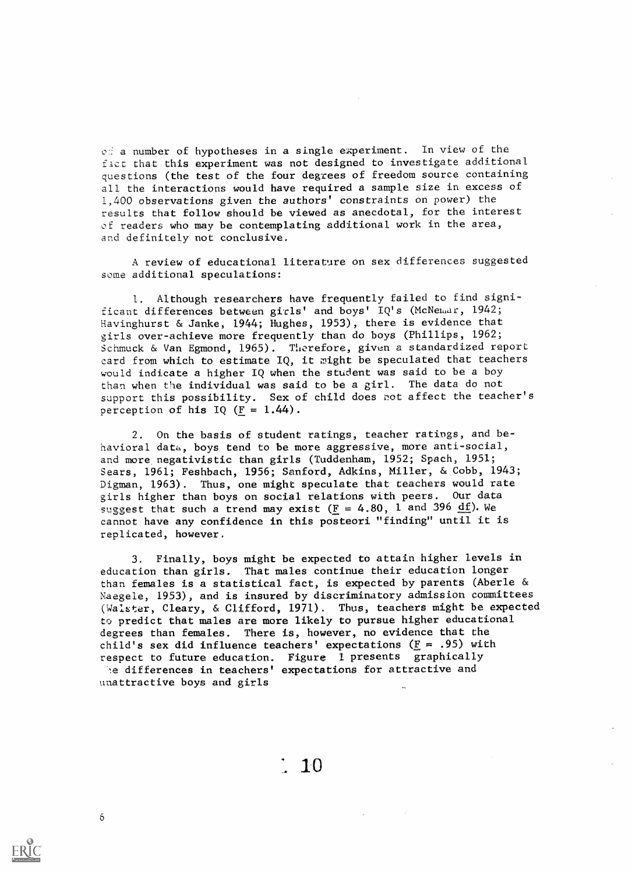$\circ$ : a number of hypotheses in a single experiment. In view of the f.act that this experiment was not designed to investigate additional questions (the test of the four degrees of freedom source containing all the interactions would have required a sample size in excess of 1,400 observations given the authors' constraints on power) the results that follow should be viewed as anecdotal, for the interest of readers who may be contemplating additional work in the area, and definitely not conclusive.

A review of educational literature on sex differences suggested some additional speculations:

1. Although researchers have frequently failed to find significant differences between girls' and boys' IQ's (McNemar, 1942; Havinghurst & Janke, 1944; Hughes, 1953), there is evidence that girls over-achieve more frequently than do boys (Phillips, 1962; Schmuck & Van Egmond, 1965). Therefore, given a standardized report card from which to estimate IQ, it might be speculated that teachers would indicate a higher IQ when the student was said to be a boy than when the individual was said to be a girl. The data do not support this possibility. Sex of child does not affect the teacher's perception of his IQ  $(F = 1.44)$ .

2. On the basis of student ratings, teacher ratings, and behavioral data, boys tend to be more aggressive, more anti-social, and more, negativistic than girls (Tuddenham, 1952; Spach, 1951; Sears, 1961; Feshbach, 1956; Sanford, Adkins, Miller, & Cobb, 1943; Digman, 1963). Thus, one might speculate that teachers would rate girls higher than boys on social relations with peers. Our data suggest that such a trend may exist ( $\underline{F} = 4.80$ , 1 and 396 df). We cannot have any confidence in this posteori "finding" until it is replicated, however.

3. Finally, boys might be expected to attain higher levels in education than girls. That males continue their education longer than females is a statistical fact, is expected by parents (Aberle & Yaegele, 1953), and is insured by discriminatory admission committees (Walster, Cleary, & Clifford, 1971). Thus, teachers might be expected to predict that males are more likely to pursue higher educational degrees than females. There is, however, no evidence that the child's sex did influence teachers' expectations ( $E = .95$ ) with respect to future education. Figure 1 presents graphically he differences in teachers' expectations for attractive and unattractive boys and girls

 $\frac{1}{2}$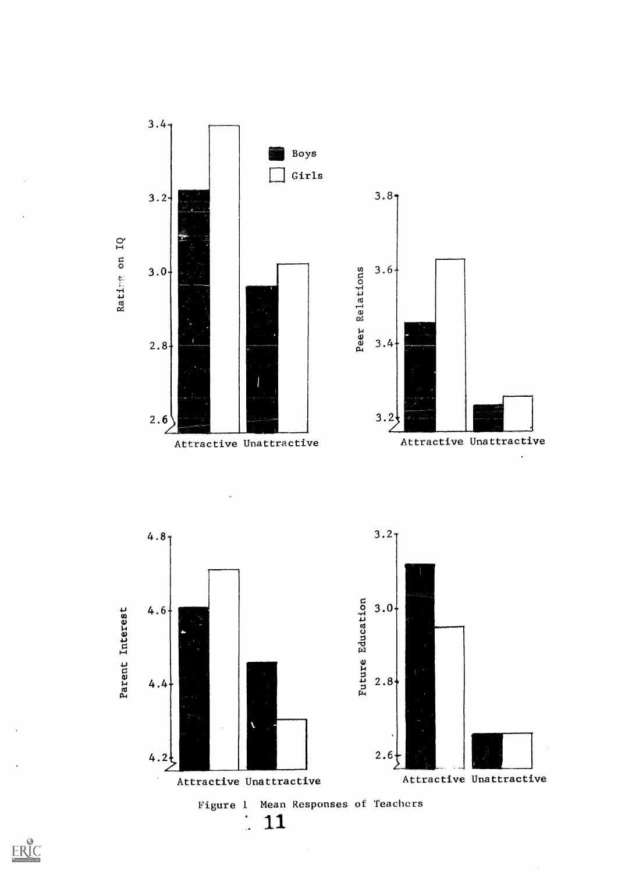

 $ERIC$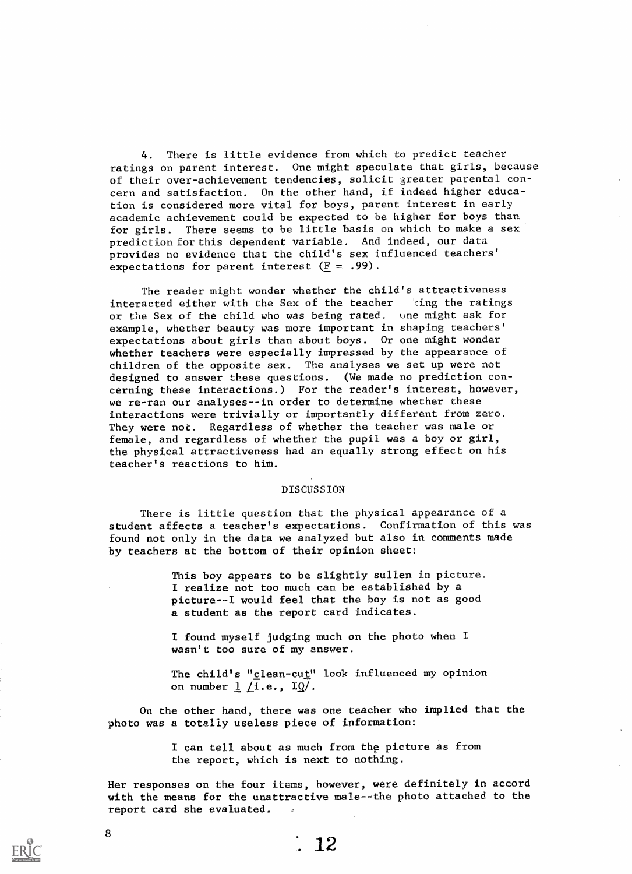4. There is little evidence from which to predict teacher ratings on parent interest. One might speculate that girls, because of their over-achievement tendencies, solicit greater parental concern and satisfaction. On the other hand, if indeed higher education is considered more vital for boys, parent interest in early academic achievement could be expected to be higher for boys than for girls. There seems to be little basis on which to make a sex prediction for this dependent variable. And indeed, our data provides no evidence that the child's sex influenced teachers' expectations for parent interest  $(E = .99)$ .

The reader might wonder whether the child's attractiveness interacted either with the Sex of the teacher 'cing the ratings or the Sex of the child who was being rated. une might ask for example, whether beauty was more important in shaping teachers' expectations about girls than about boys. Or one might wonder whether teachers were especially impressed by the appearance of children of the opposite sex. The analyses we set up were not designed to answer these questions. (We made no prediction concerning these interactions.) For the reader's interest, however, we re-ran our analyses--in order to determine whether these interactions were trivially or importantly different from zero. They were not. Regardless of whether the teacher was male or female, and regardless of whether the pupil was a boy or girl, the physical attractiveness had an equally strong effect on his teacher's reactions to him.

#### DISCUSSION

There is little question that the physical appearance of a student affects a teacher's expectations. Confirmation of this was found not only in the data we analyzed but also in comments made by teachers at the bottom of their opinion sheet:

> This boy appears to be slightly sullen in picture. I realize not too much can be established by a picture--I would feel that the boy is not as good a student as the report card indicates.

I found myself judging much on the photo when I wasn't too sure of my answer.

The child's "clean-cut" look influenced my opinion on number  $1/(i.e., 10/$ .

On the other hand, there was one teacher who implied that the photo was a totally useless piece of information:

> I can tell about as much from the picture as from the report, which is next to nothing.

Her responses on the four items, however, were definitely in accord with the means for the unattractive male--the photo attached to the report card she evaluated.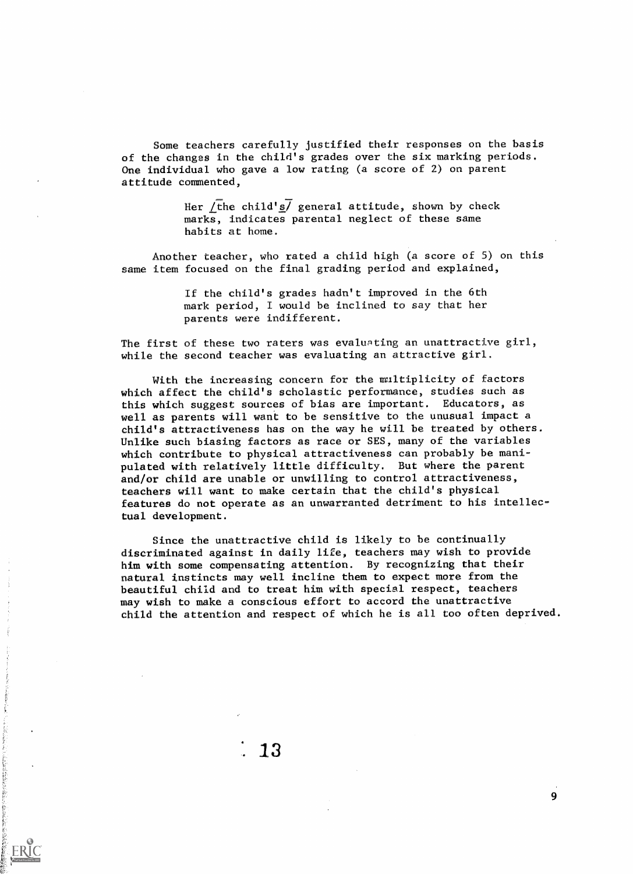Some teachers carefully justified their responses on the basis of the changes in the child's grades over the six marking periods. One individual who gave a low rating (a score of 2) on parent attitude commented,

> Her /the child's/ general attitude, shown by check marks, indicates parental neglect of these same habits at home.

Another teacher, who rated a child high (a score of 5) on this same item focused on the final grading period and explained,

> If the child's grades hadn't improved in the 6th mark period, I would be inclined to say that her parents were indifferent.

The first of these two raters was evaluating an unattractive girl, while the second teacher was evaluating an attractive girl.

With the increasing concern for the multiplicity of factors which affect the child's scholastic performance, studies such as this which suggest sources of bias are tmportant. Educators, as well as parents will want to be sensitive to the unusual impact a child's attractiveness has on the way he will be treated by others. Unlike such biasing factors as race or SES, many of the variables which contribute to physical attractiveness can probably be manipulated with relatively little difficulty. But where the parent and/or child are unable or unwilling to control attractiveness, teachers will want to make certain that the child's physical features do not operate as an unwarranted detriment to his intellectual development.

Since the unattractive child is likely to be continually discriminated against in daily life, teachers may wish to provide him with some compensating attention. By recognizing that their natural instincts may well incline them to expect more from the beautiful child and to treat him with special respect, teachers may wish to make a conscious effort to accord the unattractive child the attention and respect of which he is all too often deprived.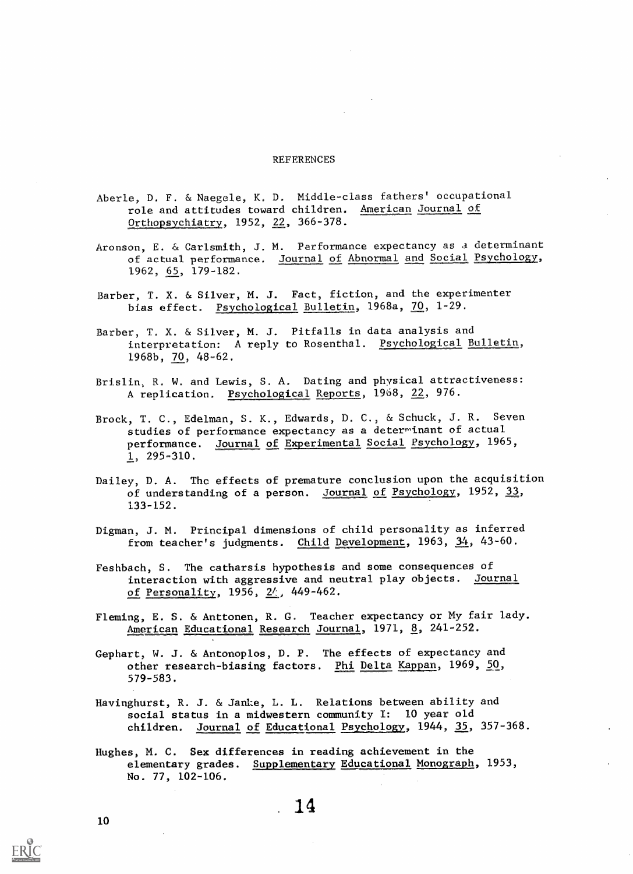#### REFERENCES

- Aberle, D. F. & Naegele, K. D. Middle-class fathers' occupational role and attitudes toward children. American Journal of Orthopsyehiatry, 1952, 22, 366-378.
- Aronson, E. & Carlsmith, J. M. Performance expectancy as a determinant of actual performance. Journal of Abnormal and Social Psychology, 1962, 65, 179-182.
- Barber, T. X. & Silver, M. J. Fact, fiction, and the experimenter bias effect. Psychological Bulletin, 1968a, 70, 1-29.
- Barber, T. X. & Silver, M. J. Pitfalls in data analysis and interpretation: A reply to Rosenthal. Psychological Bulletin, 1968b, 70, 48-62.
- Brislin, R. W. and Lewis, S. A. Dating and physical attractiveness: A replication. Psychological Reports, 1968, 22, 976.
- Brock, T. C., Edelman, S. K., Edwards, D. C., & Schuck, J. R. Seven studies of performance expectancy as a determinant of actual performance. Journal of Experimental Social Psychology, 1965,  $1, 295 - 310.$
- Dailey, D. A. The effects of premature conclusion upon the acquisition of understanding of a person. Journal of Psychology, 1952,  $33$ , 133-152.
- Digman, J. M. Principal dimensions of child personality as inferred from teacher's judgments. Child Development, 1963, 34, 43-60.
- Feshbach, S. The catharsis hypothesis and some consequences of interaction with aggressive and neutral play objects. Journal of Personality, 1956,  $2/$ , 449-462.
- Fleming, E. S. & Anttonen, R. G. Teacher expectancy or My fair lady. American Educational Research Journal, 1971, 8, 241-252.
- Gephart, W. J. & Antonoplos, D. P. The effects of expectancy and other research-biasing factors. Phi Delta Kappan, 1969, 50, 579-583.
- Havinghurst, R. J. & Janke, L. L. Relations between ability and social status in a midwestern community I: 10 year old children. Journal of Educational Psychology, 1944, 35, 357-368.
- Hughes, M. C. Sex differences in reading achievement in the elementary grades. Supplementary Educational Monograph, 1953, No. 77, 102-106.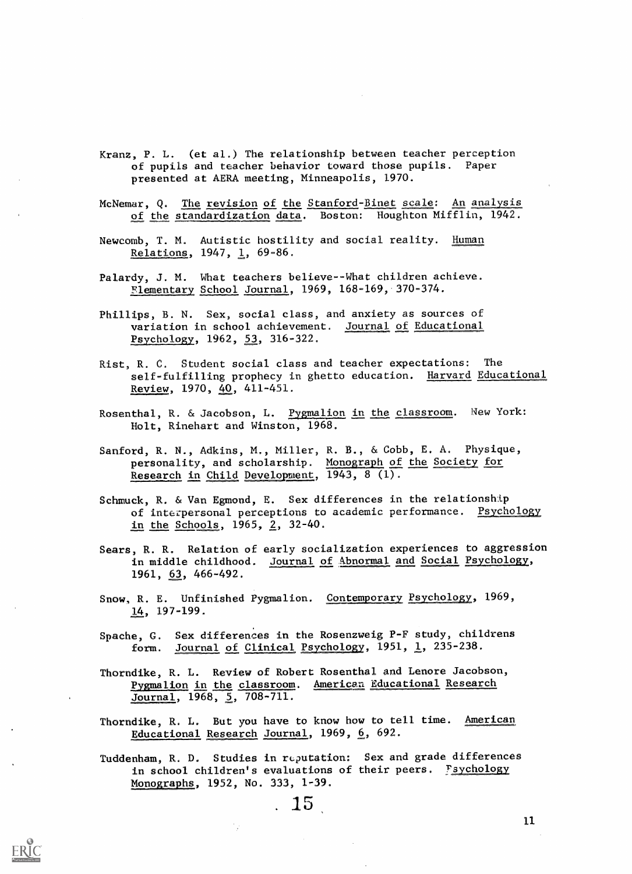Kranz, P. L. (et al.) The relationship between teacher perception of pupils and teacher behavior toward those pupils. Paper presented at AERA meeting, Minneapolis, 1970.

McNemar, Q. The revision of the Stanford-Binet scale: An analysis of the standardization data. Boston: Houghton Mifflin, 1942.

Newcomb, T. M. Autistic hostility and social reality. Human Relations,  $1947, 1, 69-86.$ 

Palardy, J. M. What teachers believe--What children achieve.  $F$ lementary School Journal, 1969, 168-169, 370-374.

Phillips, B. N. Sex, social class, and anxiety as sources of variation in school achievement. Journal of Educational Psychology, 1962, 53, 316-322.

Rist, R. C. Student social class and teacher expectations: The self-fulfilling prophecy in ghetto education. Harvard Educational Review, 1970, 40, 411-451.

Rosenthal, R. & Jacobson, L. Pygmalion in the classroom. New York: Holt, Rinehart and Winston, 1968.

Sanford, R. N., Adkins, M., Miller, R. B., & Cobb, E. A. Physique, personality, and scholarship. Monograph of the Society for Research in Child Development, 1943, 8 (1).

Schmuck, R. & Van Egmond, E. Sex differences in the relationship of interpersonal perceptions to academic performance. Psychology in the Schools,  $1965$ ,  $2$ ,  $32-40$ .

Sears, R. R. Relation of early socialization experiences to aggression in middle childhood. Journal of Abnormal and Social Psychology, 1961, 63, 466-492.

Snow, R. E. Unfinished Pygmalion. Contemporary Psychology, 1969, 14, 197-199.

Spache, G. Sex differences in the Rosenzweig P-F study, childrens form. Journal of Clinical Psychology,  $1951, 1$ , 235-238.

Thorndike, R. L. Review of Robert Rosenthal and Lenore jacobson, Pygmalion in the classroom. American Educational Research Journal, 1968, 5, 708-711.

Thorndike, R. L. But you have to know how to tell time. American Educational Research Journal, 1969, 6, 692.

Tuddenham, R. D. Studies in reputation: Sex and grade differences in school children's evaluations of their peers. Fsychology Monographs, 1952, No. 333, 1-39.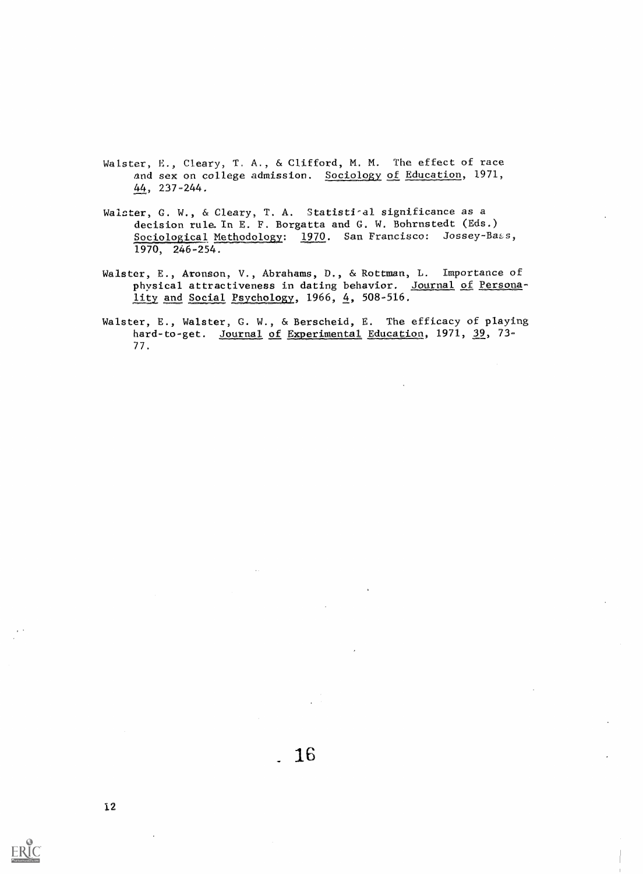- Walster, E., Cleary, T. A., & Clifford, M. M. The effect of race and sex on college admission. Sociology of Education, 1971, 44, 237-244.
- Waicter, C. W., & Cleary, T. A. Statisti-al significance as a decision rule. In E. F. Borgatta and G. W. Bohrnstedt (Eds.) Sociological Methodology: 1970. San Francisco: Jossey-Bass, 1970, 246-254.
- Walster, E., Aronson, V., Abrahams, D., & Rottman, L. Importance of physical attractiveness in dating behavior. Journal of Persona- $1$ ity and Social Psychology, 1966, 4, 508-516.
- Walster, E., Walster, G. W., & Berscheid, E. The efficacy of playing hard-to-get. Journal of Experimental Education, 1971, 39, 73-77.

 $ERIC$